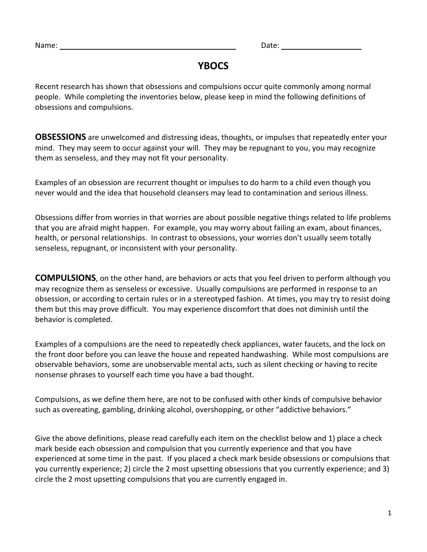# **YBOCS**

Recent research has shown that obsessions and compulsions occur quite commonly among normal people. While completing the inventories below, please keep in mind the following definitions of obsessions and compulsions.

**OBSESSIONS** are unwelcomed and distressing ideas, thoughts, or impulses that repeatedly enter your mind. They may seem to occur against your will. They may be repugnant to you, you may recognize them as senseless, and they may not fit your personality.

Examples of an obsession are recurrent thought or impulses to do harm to a child even though you never would and the idea that household cleansers may lead to contamination and serious illness.

Obsessions differ from worries in that worries are about possible negative things related to life problems that you are afraid might happen. For example, you may worry about failing an exam, about finances, health, or personal relationships. In contrast to obsessions, your worries don't usually seem totally senseless, repugnant, or inconsistent with your personality.

**COMPULSIONS**, on the other hand, are behaviors or acts that you feel driven to perform although you may recognize them as senseless or excessive. Usually compulsions are performed in response to an obsession, or according to certain rules or in a stereotyped fashion. At times, you may try to resist doing them but this may prove difficult. You may experience discomfort that does not diminish until the behavior is completed.

Examples of a compulsions are the need to repeatedly check appliances, water faucets, and the lock on the front door before you can leave the house and repeated handwashing. While most compulsions are observable behaviors, some are unobservable mental acts, such as silent checking or having to recite nonsense phrases to yourself each time you have a bad thought.

Compulsions, as we define them here, are not to be confused with other kinds of compulsive behavior such as overeating, gambling, drinking alcohol, overshopping, or other "addictive behaviors."

Give the above definitions, please read carefully each item on the checklist below and 1) place a check mark beside each obsession and compulsion that you currently experience and that you have experienced at some time in the past. If you placed a check mark beside obsessions or compulsions that you currently experience; 2) circle the 2 most upsetting obsessions that you currently experience; and 3) circle the 2 most upsetting compulsions that you are currently engaged in.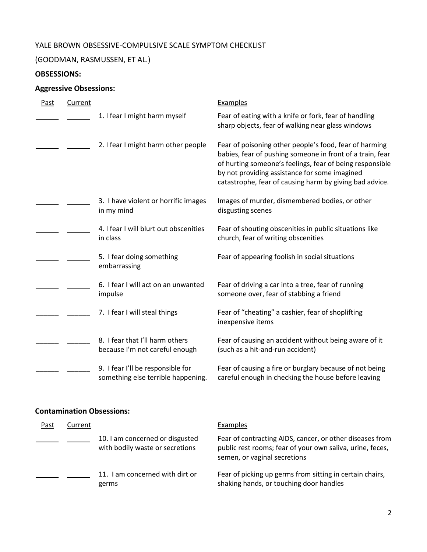### YALE BROWN OBSESSIVE-COMPULSIVE SCALE SYMPTOM CHECKLIST

# (GOODMAN, RASMUSSEN, ET AL.)

# **OBSESSIONS:**

# **Aggressive Obsessions:**

| Past | Current |                                                                         | <b>Examples</b>                                                                                                                                                                                                                                                                             |
|------|---------|-------------------------------------------------------------------------|---------------------------------------------------------------------------------------------------------------------------------------------------------------------------------------------------------------------------------------------------------------------------------------------|
|      |         | 1. I fear I might harm myself                                           | Fear of eating with a knife or fork, fear of handling<br>sharp objects, fear of walking near glass windows                                                                                                                                                                                  |
|      |         | 2. I fear I might harm other people                                     | Fear of poisoning other people's food, fear of harming<br>babies, fear of pushing someone in front of a train, fear<br>of hurting someone's feelings, fear of being responsible<br>by not providing assistance for some imagined<br>catastrophe, fear of causing harm by giving bad advice. |
|      |         | 3. I have violent or horrific images<br>in my mind                      | Images of murder, dismembered bodies, or other<br>disgusting scenes                                                                                                                                                                                                                         |
|      |         | 4. I fear I will blurt out obscenities<br>in class                      | Fear of shouting obscenities in public situations like<br>church, fear of writing obscenities                                                                                                                                                                                               |
|      |         | 5. I fear doing something<br>embarrassing                               | Fear of appearing foolish in social situations                                                                                                                                                                                                                                              |
|      |         | 6. I fear I will act on an unwanted<br>impulse                          | Fear of driving a car into a tree, fear of running<br>someone over, fear of stabbing a friend                                                                                                                                                                                               |
|      |         | 7. I fear I will steal things                                           | Fear of "cheating" a cashier, fear of shoplifting<br>inexpensive items                                                                                                                                                                                                                      |
|      |         | 8. I fear that I'll harm others<br>because I'm not careful enough       | Fear of causing an accident without being aware of it<br>(such as a hit-and-run accident)                                                                                                                                                                                                   |
|      |         | 9. I fear I'll be responsible for<br>something else terrible happening. | Fear of causing a fire or burglary because of not being<br>careful enough in checking the house before leaving                                                                                                                                                                              |

### **Contamination Obsessions:**

| Past | Current |                                                                    | Examples                                                                                                                                              |
|------|---------|--------------------------------------------------------------------|-------------------------------------------------------------------------------------------------------------------------------------------------------|
|      |         | 10. I am concerned or disgusted<br>with bodily waste or secretions | Fear of contracting AIDS, cancer, or other diseases from<br>public rest rooms; fear of your own saliva, urine, feces,<br>semen, or vaginal secretions |
|      |         | 11. I am concerned with dirt or<br>germs                           | Fear of picking up germs from sitting in certain chairs,<br>shaking hands, or touching door handles                                                   |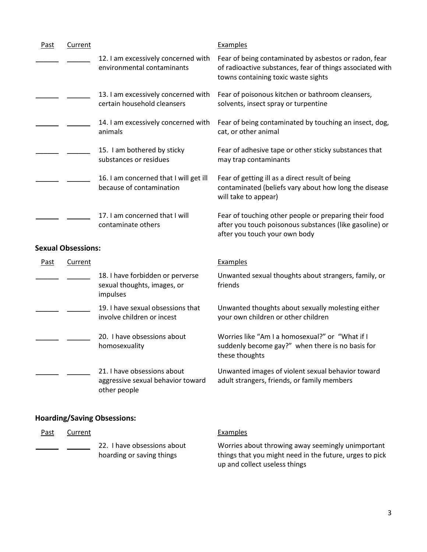| <b>Past</b> | Current                   |                                                                             | <b>Examples</b>                                                                                                                                           |
|-------------|---------------------------|-----------------------------------------------------------------------------|-----------------------------------------------------------------------------------------------------------------------------------------------------------|
|             |                           | 12. I am excessively concerned with<br>environmental contaminants           | Fear of being contaminated by asbestos or radon, fear<br>of radioactive substances, fear of things associated with<br>towns containing toxic waste sights |
|             |                           | 13. I am excessively concerned with<br>certain household cleansers          | Fear of poisonous kitchen or bathroom cleansers,<br>solvents, insect spray or turpentine                                                                  |
|             |                           | 14. I am excessively concerned with<br>animals                              | Fear of being contaminated by touching an insect, dog,<br>cat, or other animal                                                                            |
|             |                           | 15. I am bothered by sticky<br>substances or residues                       | Fear of adhesive tape or other sticky substances that<br>may trap contaminants                                                                            |
|             |                           | 16. I am concerned that I will get ill<br>because of contamination          | Fear of getting ill as a direct result of being<br>contaminated (beliefs vary about how long the disease<br>will take to appear)                          |
|             |                           | 17. I am concerned that I will<br>contaminate others                        | Fear of touching other people or preparing their food<br>after you touch poisonous substances (like gasoline) or<br>after you touch your own body         |
|             | <b>Sexual Obsessions:</b> |                                                                             |                                                                                                                                                           |
| Past        | <b>Current</b>            |                                                                             | <b>Examples</b>                                                                                                                                           |
|             |                           | 18. I have forbidden or perverse<br>sexual thoughts, images, or<br>impulses | Unwanted sexual thoughts about strangers, family, or<br>friends                                                                                           |
|             |                           | 19. I have sexual obsessions that                                           | Unwanted thoughts about sexually molesting either                                                                                                         |

### Unwanted thoughts about sexually molesting either your own children or other children

Worries like "Am I a homosexual?" or "What if I suddenly become gay?" when there is no basis for these thoughts

Unwanted images of violent sexual behavior toward adult strangers, friends, or family members

#### **Hoarding/Saving Obsessions:**

involve children or incest

homosexuality

other people

20. I have obsessions about

21. I have obsessions about

aggressive sexual behavior toward

| Past | Current |                                                          | Examples                                                                                                                                      |
|------|---------|----------------------------------------------------------|-----------------------------------------------------------------------------------------------------------------------------------------------|
|      |         | 22. I have obsessions about<br>hoarding or saving things | Worries about throwing away seemingly unimportant<br>things that you might need in the future, urges to pick<br>up and collect useless things |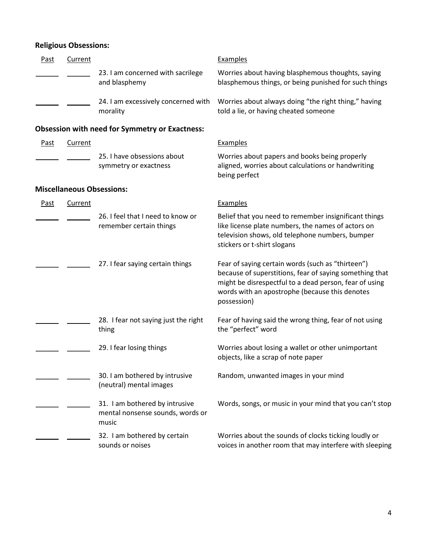# **Religious Obsessions:**

| Past        | Current        |                                                                             | <b>Examples</b>                                                                                                                                                                                                                         |
|-------------|----------------|-----------------------------------------------------------------------------|-----------------------------------------------------------------------------------------------------------------------------------------------------------------------------------------------------------------------------------------|
|             |                | 23. I am concerned with sacrilege<br>and blasphemy                          | Worries about having blasphemous thoughts, saying<br>blasphemous things, or being punished for such things                                                                                                                              |
|             |                | 24. I am excessively concerned with<br>morality                             | Worries about always doing "the right thing," having<br>told a lie, or having cheated someone                                                                                                                                           |
|             |                | <b>Obsession with need for Symmetry or Exactness:</b>                       |                                                                                                                                                                                                                                         |
| <b>Past</b> | <b>Current</b> |                                                                             | Examples                                                                                                                                                                                                                                |
|             |                | 25. I have obsessions about<br>symmetry or exactness                        | Worries about papers and books being properly<br>aligned, worries about calculations or handwriting<br>being perfect                                                                                                                    |
|             |                | <b>Miscellaneous Obsessions:</b>                                            |                                                                                                                                                                                                                                         |
| <u>Past</u> | Current        |                                                                             | Examples                                                                                                                                                                                                                                |
|             |                | 26. I feel that I need to know or<br>remember certain things                | Belief that you need to remember insignificant things<br>like license plate numbers, the names of actors on<br>television shows, old telephone numbers, bumper<br>stickers or t-shirt slogans                                           |
|             |                | 27. I fear saying certain things                                            | Fear of saying certain words (such as "thirteen")<br>because of superstitions, fear of saying something that<br>might be disrespectful to a dead person, fear of using<br>words with an apostrophe (because this denotes<br>possession) |
|             |                | 28. I fear not saying just the right<br>thing                               | Fear of having said the wrong thing, fear of not using<br>the "perfect" word                                                                                                                                                            |
|             |                | 29. I fear losing things                                                    | Worries about losing a wallet or other unimportant<br>objects, like a scrap of note paper                                                                                                                                               |
|             |                | 30. I am bothered by intrusive<br>(neutral) mental images                   | Random, unwanted images in your mind                                                                                                                                                                                                    |
|             |                | 31. I am bothered by intrusive<br>mental nonsense sounds, words or<br>music | Words, songs, or music in your mind that you can't stop                                                                                                                                                                                 |
|             |                | 32. I am bothered by certain<br>sounds or noises                            | Worries about the sounds of clocks ticking loudly or<br>voices in another room that may interfere with sleeping                                                                                                                         |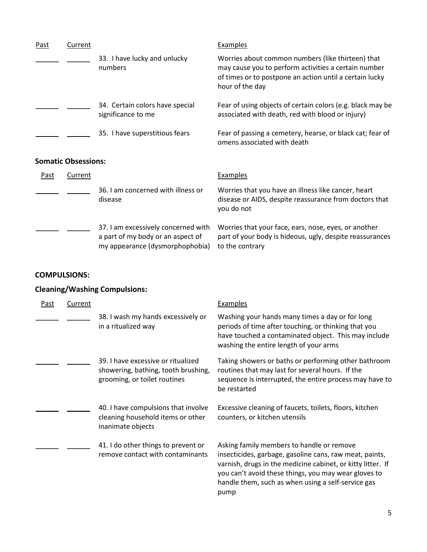| Past | Current                    |                                                       | Examples                                                                                                                                                                                |
|------|----------------------------|-------------------------------------------------------|-----------------------------------------------------------------------------------------------------------------------------------------------------------------------------------------|
|      |                            | 33. I have lucky and unlucky<br>numbers               | Worries about common numbers (like thirteen) that<br>may cause you to perform activities a certain number<br>of times or to postpone an action until a certain lucky<br>hour of the day |
|      |                            | 34. Certain colors have special<br>significance to me | Fear of using objects of certain colors (e.g. black may be<br>associated with death, red with blood or injury)                                                                          |
|      |                            | 35. I have superstitious fears                        | Fear of passing a cemetery, hearse, or black cat; fear of<br>omens associated with death                                                                                                |
|      | <b>Somatic Obsessions:</b> |                                                       |                                                                                                                                                                                         |
| Past | Current                    |                                                       | Examples                                                                                                                                                                                |
|      |                            | 36. I am concerned with illness or<br>disease         | Worries that you have an illness like cancer, heart<br>disease or AIDS, despite reassurance from doctors that<br>you do not                                                             |

\_\_\_\_\_\_ \_\_\_\_\_\_ 37. I am excessively concerned with Worries that your face, ears, nose, eyes, or another a part of my body or an aspect of my appearance (dysmorphophobia) part of your body is hideous, ugly, despite reassurances to the contrary

#### **COMPULSIONS:**

### **Cleaning/Washing Compulsions:**

| Past | Current |                                                                                                           | Examples                                                                                                                                                                                                                                                                                  |
|------|---------|-----------------------------------------------------------------------------------------------------------|-------------------------------------------------------------------------------------------------------------------------------------------------------------------------------------------------------------------------------------------------------------------------------------------|
|      |         | 38. I wash my hands excessively or<br>in a ritualized way                                                 | Washing your hands many times a day or for long<br>periods of time after touching, or thinking that you<br>have touched a contaminated object. This may include<br>washing the entire length of your arms                                                                                 |
|      |         | 39. I have excessive or ritualized<br>showering, bathing, tooth brushing,<br>grooming, or toilet routines | Taking showers or baths or performing other bathroom<br>routines that may last for several hours. If the<br>sequence is interrupted, the entire process may have to<br>be restarted                                                                                                       |
|      |         | 40. I have compulsions that involve<br>cleaning household items or other<br>inanimate objects             | Excessive cleaning of faucets, toilets, floors, kitchen<br>counters, or kitchen utensils                                                                                                                                                                                                  |
|      |         | 41. I do other things to prevent or<br>remove contact with contaminants                                   | Asking family members to handle or remove<br>insecticides, garbage, gasoline cans, raw meat, paints,<br>varnish, drugs in the medicine cabinet, or kitty litter. If<br>you can't avoid these things, you may wear gloves to<br>handle them, such as when using a self-service gas<br>pump |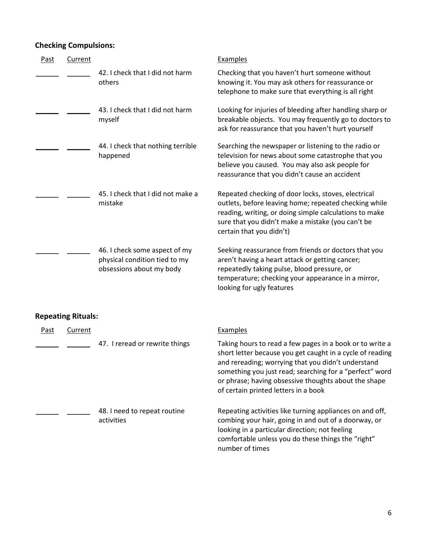### **Checking Compulsions:**

| <b>Past</b> | Current                   |                                                                                            | <b>Examples</b>                                                                                                                                                                                                                                                                                                                        |
|-------------|---------------------------|--------------------------------------------------------------------------------------------|----------------------------------------------------------------------------------------------------------------------------------------------------------------------------------------------------------------------------------------------------------------------------------------------------------------------------------------|
|             |                           | 42. I check that I did not harm<br>others                                                  | Checking that you haven't hurt someone without<br>knowing it. You may ask others for reassurance or<br>telephone to make sure that everything is all right                                                                                                                                                                             |
|             |                           | 43. I check that I did not harm<br>myself                                                  | Looking for injuries of bleeding after handling sharp or<br>breakable objects. You may frequently go to doctors to<br>ask for reassurance that you haven't hurt yourself                                                                                                                                                               |
|             |                           | 44. I check that nothing terrible<br>happened                                              | Searching the newspaper or listening to the radio or<br>television for news about some catastrophe that you<br>believe you caused. You may also ask people for<br>reassurance that you didn't cause an accident                                                                                                                        |
|             |                           | 45. I check that I did not make a<br>mistake                                               | Repeated checking of door locks, stoves, electrical<br>outlets, before leaving home; repeated checking while<br>reading, writing, or doing simple calculations to make<br>sure that you didn't make a mistake (you can't be<br>certain that you didn't)                                                                                |
|             |                           | 46. I check some aspect of my<br>physical condition tied to my<br>obsessions about my body | Seeking reassurance from friends or doctors that you<br>aren't having a heart attack or getting cancer;<br>repeatedly taking pulse, blood pressure, or<br>temperature; checking your appearance in a mirror,<br>looking for ugly features                                                                                              |
|             | <b>Repeating Rituals:</b> |                                                                                            |                                                                                                                                                                                                                                                                                                                                        |
| <u>Past</u> | Current                   |                                                                                            | <b>Examples</b>                                                                                                                                                                                                                                                                                                                        |
|             |                           | 47. I reread or rewrite things                                                             | Taking hours to read a few pages in a book or to write a<br>short letter because you get caught in a cycle of reading<br>and rereading; worrying that you didn't understand<br>something you just read; searching for a "perfect" word<br>or phrase; having obsessive thoughts about the shape<br>of certain printed letters in a book |
|             |                           | 48. I need to repeat routine<br>activities                                                 | Repeating activities like turning appliances on and off,<br>combing your hair, going in and out of a doorway, or<br>looking in a particular direction; not feeling<br>comfortable unless you do these things the "right"<br>number of times                                                                                            |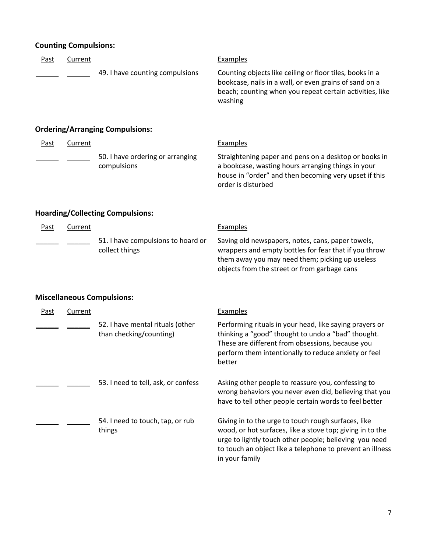## **Counting Compulsions:**

| <b>Past</b> | Current        |                                                             | <b>Examples</b>                                                                                                                                                                                                                                           |
|-------------|----------------|-------------------------------------------------------------|-----------------------------------------------------------------------------------------------------------------------------------------------------------------------------------------------------------------------------------------------------------|
|             |                | 49. I have counting compulsions                             | Counting objects like ceiling or floor tiles, books in a<br>bookcase, nails in a wall, or even grains of sand on a<br>beach; counting when you repeat certain activities, like<br>washing                                                                 |
|             |                | <b>Ordering/Arranging Compulsions:</b>                      |                                                                                                                                                                                                                                                           |
| Past        | <b>Current</b> |                                                             | Examples                                                                                                                                                                                                                                                  |
|             |                | 50. I have ordering or arranging<br>compulsions             | Straightening paper and pens on a desktop or books in<br>a bookcase, wasting hours arranging things in your<br>house in "order" and then becoming very upset if this<br>order is disturbed                                                                |
|             |                | <b>Hoarding/Collecting Compulsions:</b>                     |                                                                                                                                                                                                                                                           |
| <b>Past</b> | Current        |                                                             | Examples                                                                                                                                                                                                                                                  |
|             |                | 51. I have compulsions to hoard or<br>collect things        | Saving old newspapers, notes, cans, paper towels,<br>wrappers and empty bottles for fear that if you throw<br>them away you may need them; picking up useless<br>objects from the street or from garbage cans                                             |
|             |                | <b>Miscellaneous Compulsions:</b>                           |                                                                                                                                                                                                                                                           |
| <b>Past</b> | <b>Current</b> |                                                             | <b>Examples</b>                                                                                                                                                                                                                                           |
|             |                | 52. I have mental rituals (other<br>than checking/counting) | Performing rituals in your head, like saying prayers or<br>thinking a "good" thought to undo a "bad" thought.<br>These are different from obsessions, because you<br>perform them intentionally to reduce anxiety or feel<br>better                       |
|             |                | 53. I need to tell, ask, or confess                         | Asking other people to reassure you, confessing to<br>wrong behaviors you never even did, believing that you<br>have to tell other people certain words to feel better                                                                                    |
|             |                | 54. I need to touch, tap, or rub<br>things                  | Giving in to the urge to touch rough surfaces, like<br>wood, or hot surfaces, like a stove top; giving in to the<br>urge to lightly touch other people; believing you need<br>to touch an object like a telephone to prevent an illness<br>in your family |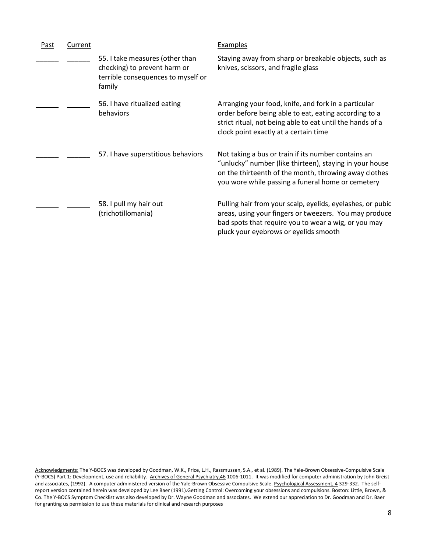| Past | Current |                                                                                                                 | Examples                                                                                                                                                                                                                     |
|------|---------|-----------------------------------------------------------------------------------------------------------------|------------------------------------------------------------------------------------------------------------------------------------------------------------------------------------------------------------------------------|
|      |         | 55. I take measures (other than<br>checking) to prevent harm or<br>terrible consequences to myself or<br>family | Staying away from sharp or breakable objects, such as<br>knives, scissors, and fragile glass                                                                                                                                 |
|      |         | 56. I have ritualized eating<br>behaviors                                                                       | Arranging your food, knife, and fork in a particular<br>order before being able to eat, eating according to a<br>strict ritual, not being able to eat until the hands of a<br>clock point exactly at a certain time          |
|      |         | 57. I have superstitious behaviors                                                                              | Not taking a bus or train if its number contains an<br>"unlucky" number (like thirteen), staying in your house<br>on the thirteenth of the month, throwing away clothes<br>you wore while passing a funeral home or cemetery |
|      |         | 58. I pull my hair out<br>(trichotillomania)                                                                    | Pulling hair from your scalp, eyelids, eyelashes, or pubic<br>areas, using your fingers or tweezers. You may produce<br>bad spots that require you to wear a wig, or you may<br>pluck your eyebrows or eyelids smooth        |

Acknowledgments: The Y-BOCS was developed by Goodman, W.K., Price, L.H., Rassmussen, S.A., et al. (1989). The Yale-Brown Obsessive-Compulsive Scale (Y-BOCS) Part 1: Development, use and reliability. Archives of General Psychiatry,46 1006-1011. It was modified for computer administration by John Greist and associates, (1992). A computer administered version of the Yale-Brown Obsessive Compulsive Scale. Psychological Assessment, 4 329-332. The selfreport version contained herein was developed by Lee Baer (1991). Getting Control: Overcoming your obsessions and compulsions. Boston: Little, Brown, & Co. The Y-BOCS Symptom Checklist was also developed by Dr. Wayne Goodman and associates. We extend our appreciation to Dr. Goodman and Dr. Baer for granting us permission to use these materials for clinical and research purposes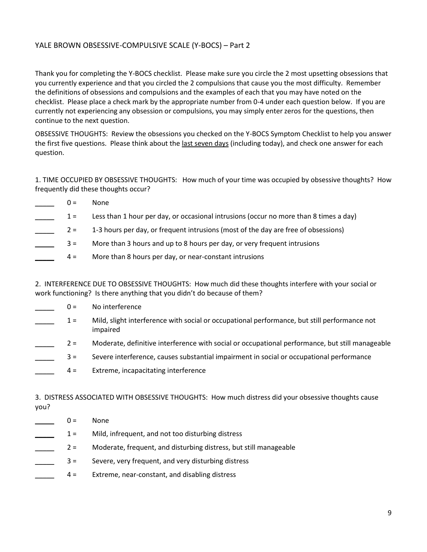#### YALE BROWN OBSESSIVE-COMPULSIVE SCALE (Y-BOCS) – Part 2

Thank you for completing the Y-BOCS checklist. Please make sure you circle the 2 most upsetting obsessions that you currently experience and that you circled the 2 compulsions that cause you the most difficulty. Remember the definitions of obsessions and compulsions and the examples of each that you may have noted on the checklist. Please place a check mark by the appropriate number from 0-4 under each question below. If you are currently not experiencing any obsession or compulsions, you may simply enter zeros for the questions, then continue to the next question.

OBSESSIVE THOUGHTS: Review the obsessions you checked on the Y-BOCS Symptom Checklist to help you answer the first five questions. Please think about the last seven days (including today), and check one answer for each question.

1. TIME OCCUPIED BY OBSESSIVE THOUGHTS: How much of your time was occupied by obsessive thoughts? How frequently did these thoughts occur?

| $() =$ | <b>None</b>                                                                           |
|--------|---------------------------------------------------------------------------------------|
| $1 =$  | Less than 1 hour per day, or occasional intrusions (occur no more than 8 times a day) |
| $2 =$  | 1-3 hours per day, or frequent intrusions (most of the day are free of obsessions)    |
| $3 =$  | More than 3 hours and up to 8 hours per day, or very frequent intrusions              |
| $4 =$  | More than 8 hours per day, or near-constant intrusions                                |
|        |                                                                                       |

2. INTERFERENCE DUE TO OBSESSIVE THOUGHTS: How much did these thoughts interfere with your social or work functioning? Is there anything that you didn't do because of them?

- $0 =$  No interference
- 1 = Mild, slight interference with social or occupational performance, but still performance not impaired
- 2 = Moderate, definitive interference with social or occupational performance, but still manageable
- \_\_\_\_\_ 3 = Severe interference, causes substantial impairment in social or occupational performance
- \_\_\_\_\_ 4 = Extreme, incapacitating interference

3. DISTRESS ASSOCIATED WITH OBSESSIVE THOUGHTS: How much distress did your obsessive thoughts cause you?

 $0 =$  None \_\_\_\_\_ 1 = Mild, infrequent, and not too disturbing distress 2 = Moderate, frequent, and disturbing distress, but still manageable \_\_\_\_\_ 3 = Severe, very frequent, and very disturbing distress \_\_\_\_\_ 4 = Extreme, near-constant, and disabling distress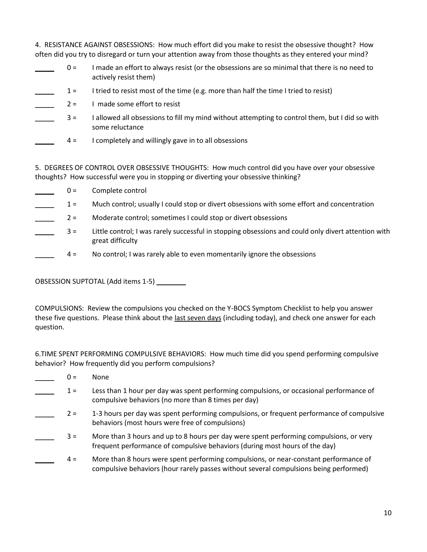4. RESISTANCE AGAINST OBSESSIONS: How much effort did you make to resist the obsessive thought? How often did you try to disregard or turn your attention away from those thoughts as they entered your mind?

| $0 =$ | I made an effort to always resist (or the obsessions are so minimal that there is no need to<br>actively resist them) |
|-------|-----------------------------------------------------------------------------------------------------------------------|
| $1 =$ | I tried to resist most of the time (e.g. more than half the time I tried to resist)                                   |
| $2 =$ | I made some effort to resist                                                                                          |
| $3 =$ | I allowed all obsessions to fill my mind without attempting to control them, but I did so with<br>some reluctance     |
| $4 =$ | I completely and willingly gave in to all obsessions                                                                  |

5. DEGREES OF CONTROL OVER OBSESSIVE THOUGHTS: How much control did you have over your obsessive thoughts? How successful were you in stopping or diverting your obsessive thinking?

 $0 =$  Complete control \_\_\_\_\_ 1 = Much control; usually I could stop or divert obsessions with some effort and concentration \_\_\_\_\_ 2 = Moderate control; sometimes I could stop or divert obsessions \_\_\_\_\_ 3 = Little control; I was rarely successful in stopping obsessions and could only divert attention with great difficulty \_\_\_\_\_ 4 = No control; I was rarely able to even momentarily ignore the obsessions

OBSESSION SUPTOTAL (Add items 1-5)

COMPULSIONS: Review the compulsions you checked on the Y-BOCS Symptom Checklist to help you answer these five questions. Please think about the last seven days (including today), and check one answer for each question.

6.TIME SPENT PERFORMING COMPULSIVE BEHAVIORS: How much time did you spend performing compulsive behavior? How frequently did you perform compulsions?

- $0 =$  None
- \_\_\_\_\_ 1 = Less than 1 hour per day was spent performing compulsions, or occasional performance of compulsive behaviors (no more than 8 times per day)
- 2 = 1-3 hours per day was spent performing compulsions, or frequent performance of compulsive behaviors (most hours were free of compulsions)
- \_\_\_\_\_ 3 = More than 3 hours and up to 8 hours per day were spent performing compulsions, or very frequent performance of compulsive behaviors (during most hours of the day)
- \_\_\_\_\_ 4 = More than 8 hours were spent performing compulsions, or near-constant performance of compulsive behaviors (hour rarely passes without several compulsions being performed)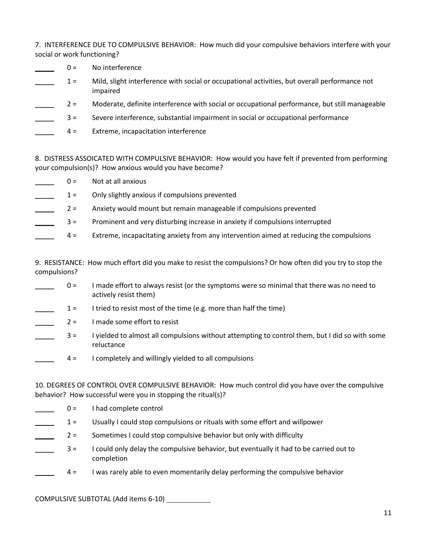7. INTERFERENCE DUE TO COMPULSIVE BEHAVIOR: How much did your compulsive behaviors interfere with your social or work functioning?

- $0 =$  No interference
- \_\_\_\_\_ 1 = Mild, slight interference with social or occupational activities, but overall performance not impaired
- \_\_\_\_\_ 2 = Moderate, definite interference with social or occupational performance, but still manageable
- \_\_\_\_\_ 3 = Severe interference, substantial impairment in social or occupational performance
- \_\_\_\_\_ 4 = Extreme, incapacitation interference

8. DISTRESS ASSOICATED WITH COMPULSIVE BEHAVIOR: How would you have felt if prevented from performing your compulsion(s)? How anxious would you have become?

- $0 =$  Not at all anxious
- 1 = Only slightly anxious if compulsions prevented
- 2 = Anxiety would mount but remain manageable if compulsions prevented
- \_\_\_\_\_ 3 = Prominent and very disturbing increase in anxiety if compulsions interrupted
- \_\_\_\_\_ 4 = Extreme, incapacitating anxiety from any intervention aimed at reducing the compulsions

9. RESISTANCE: How much effort did you make to resist the compulsions? Or how often did you try to stop the compulsions?

- \_\_\_\_\_ 0 = I made effort to always resist (or the symptoms were so minimal that there was no need to actively resist them)
- $1 =$  I tried to resist most of the time (e.g. more than half the time)
- $2 = 1$  made some effort to resist
- \_\_\_\_\_ 3 = I yielded to almost all compulsions without attempting to control them, but I did so with some reluctance
- $4 =$  I completely and willingly yielded to all compulsions

10. DEGREES OF CONTROL OVER COMPULSIVE BEHAVIOR: How much control did you have over the compulsive behavior? How successful were you in stopping the ritual(s)?

- $0 =$  I had complete control
- 1 = Usually I could stop compulsions or rituals with some effort and willpower
- \_\_\_\_\_ 2 = Sometimes I could stop compulsive behavior but only with difficulty
- \_\_\_\_\_ 3 = I could only delay the compulsive behavior, but eventually it had to be carried out to completion
- \_\_\_\_\_ 4 = I was rarely able to even momentarily delay performing the compulsive behavior

COMPULSIVE SUBTOTAL (Add items 6-10)